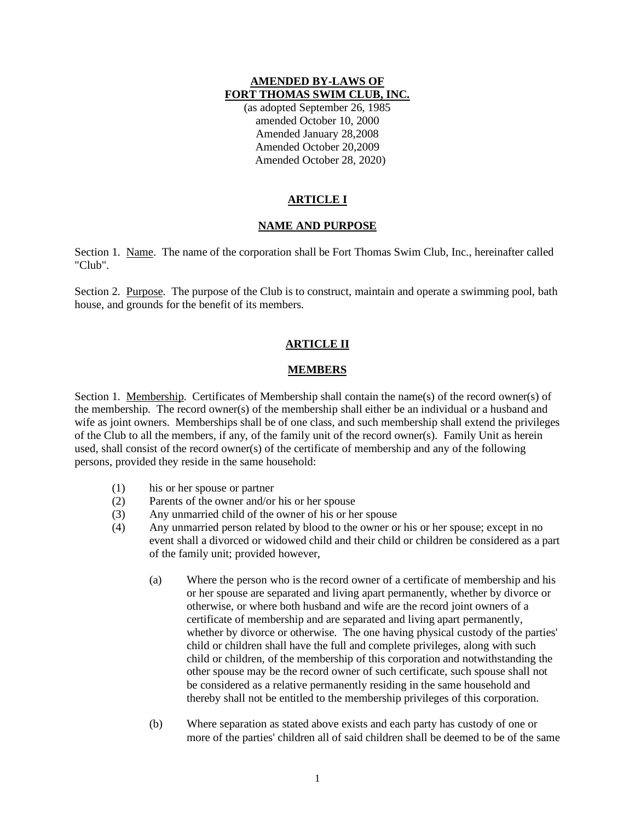#### **AMENDED BY-LAWS OF FORT THOMAS SWIM CLUB, INC.**

(as adopted September 26, 1985 amended October 10, 2000 Amended January 28,2008 Amended October 20,2009 Amended October 28, 2020)

# **ARTICLE I**

## **NAME AND PURPOSE**

Section 1. Name. The name of the corporation shall be Fort Thomas Swim Club, Inc., hereinafter called "Club".

Section 2. Purpose. The purpose of the Club is to construct, maintain and operate a swimming pool, bath house, and grounds for the benefit of its members.

## **ARTICLE II**

### **MEMBERS**

Section 1. Membership. Certificates of Membership shall contain the name(s) of the record owner(s) of the membership. The record owner(s) of the membership shall either be an individual or a husband and wife as joint owners. Memberships shall be of one class, and such membership shall extend the privileges of the Club to all the members, if any, of the family unit of the record owner(s). Family Unit as herein used, shall consist of the record owner(s) of the certificate of membership and any of the following persons, provided they reside in the same household:

- (1) his or her spouse or partner
- (2) Parents of the owner and/or his or her spouse
- (3) Any unmarried child of the owner of his or her spouse
- (4) Any unmarried person related by blood to the owner or his or her spouse; except in no event shall a divorced or widowed child and their child or children be considered as a part of the family unit; provided however,
	- (a) Where the person who is the record owner of a certificate of membership and his or her spouse are separated and living apart permanently, whether by divorce or otherwise, or where both husband and wife are the record joint owners of a certificate of membership and are separated and living apart permanently, whether by divorce or otherwise. The one having physical custody of the parties' child or children shall have the full and complete privileges, along with such child or children, of the membership of this corporation and notwithstanding the other spouse may be the record owner of such certificate, such spouse shall not be considered as a relative permanently residing in the same household and thereby shall not be entitled to the membership privileges of this corporation.
	- (b) Where separation as stated above exists and each party has custody of one or more of the parties' children all of said children shall be deemed to be of the same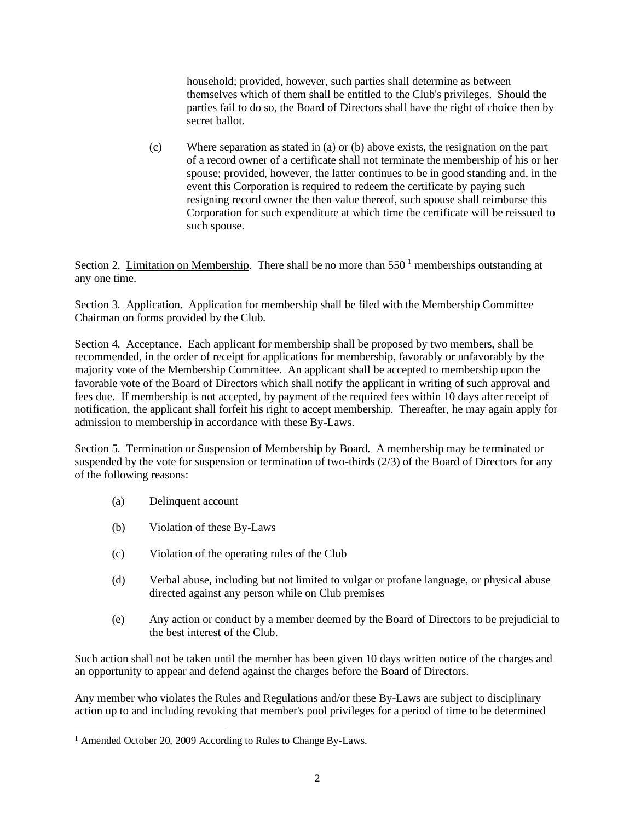household; provided, however, such parties shall determine as between themselves which of them shall be entitled to the Club's privileges. Should the parties fail to do so, the Board of Directors shall have the right of choice then by secret ballot.

(c) Where separation as stated in (a) or (b) above exists, the resignation on the part of a record owner of a certificate shall not terminate the membership of his or her spouse; provided, however, the latter continues to be in good standing and, in the event this Corporation is required to redeem the certificate by paying such resigning record owner the then value thereof, such spouse shall reimburse this Corporation for such expenditure at which time the certificate will be reissued to such spouse.

Section 2. Limitation on Membership. There shall be no more than  $550<sup>1</sup>$  memberships outstanding at any one time.

Section 3. Application. Application for membership shall be filed with the Membership Committee Chairman on forms provided by the Club.

Section 4. Acceptance. Each applicant for membership shall be proposed by two members, shall be recommended, in the order of receipt for applications for membership, favorably or unfavorably by the majority vote of the Membership Committee. An applicant shall be accepted to membership upon the favorable vote of the Board of Directors which shall notify the applicant in writing of such approval and fees due. If membership is not accepted, by payment of the required fees within 10 days after receipt of notification, the applicant shall forfeit his right to accept membership. Thereafter, he may again apply for admission to membership in accordance with these By-Laws.

Section 5. Termination or Suspension of Membership by Board. A membership may be terminated or suspended by the vote for suspension or termination of two-thirds (2/3) of the Board of Directors for any of the following reasons:

- (a) Delinquent account
- (b) Violation of these By-Laws
- (c) Violation of the operating rules of the Club
- (d) Verbal abuse, including but not limited to vulgar or profane language, or physical abuse directed against any person while on Club premises
- (e) Any action or conduct by a member deemed by the Board of Directors to be prejudicial to the best interest of the Club.

Such action shall not be taken until the member has been given 10 days written notice of the charges and an opportunity to appear and defend against the charges before the Board of Directors.

Any member who violates the Rules and Regulations and/or these By-Laws are subject to disciplinary action up to and including revoking that member's pool privileges for a period of time to be determined

<sup>1</sup> Amended October 20, 2009 According to Rules to Change By-Laws.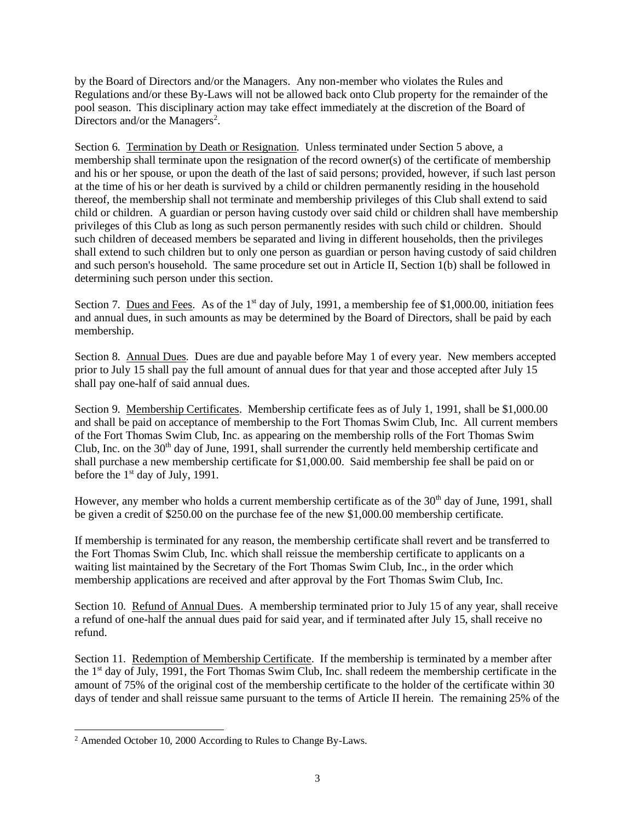by the Board of Directors and/or the Managers. Any non-member who violates the Rules and Regulations and/or these By-Laws will not be allowed back onto Club property for the remainder of the pool season. This disciplinary action may take effect immediately at the discretion of the Board of Directors and/or the Managers<sup>2</sup>.

Section 6. Termination by Death or Resignation. Unless terminated under Section 5 above, a membership shall terminate upon the resignation of the record owner(s) of the certificate of membership and his or her spouse, or upon the death of the last of said persons; provided, however, if such last person at the time of his or her death is survived by a child or children permanently residing in the household thereof, the membership shall not terminate and membership privileges of this Club shall extend to said child or children. A guardian or person having custody over said child or children shall have membership privileges of this Club as long as such person permanently resides with such child or children. Should such children of deceased members be separated and living in different households, then the privileges shall extend to such children but to only one person as guardian or person having custody of said children and such person's household. The same procedure set out in Article II, Section 1(b) shall be followed in determining such person under this section.

Section 7. Dues and Fees. As of the  $1<sup>st</sup>$  day of July, 1991, a membership fee of \$1,000.00, initiation fees and annual dues, in such amounts as may be determined by the Board of Directors, shall be paid by each membership.

Section 8. Annual Dues. Dues are due and payable before May 1 of every year. New members accepted prior to July 15 shall pay the full amount of annual dues for that year and those accepted after July 15 shall pay one-half of said annual dues.

Section 9. Membership Certificates. Membership certificate fees as of July 1, 1991, shall be \$1,000.00 and shall be paid on acceptance of membership to the Fort Thomas Swim Club, Inc. All current members of the Fort Thomas Swim Club, Inc. as appearing on the membership rolls of the Fort Thomas Swim Club, Inc. on the  $30<sup>th</sup>$  day of June, 1991, shall surrender the currently held membership certificate and shall purchase a new membership certificate for \$1,000.00. Said membership fee shall be paid on or before the  $1<sup>st</sup>$  day of July, 1991.

However, any member who holds a current membership certificate as of the  $30<sup>th</sup>$  day of June, 1991, shall be given a credit of \$250.00 on the purchase fee of the new \$1,000.00 membership certificate.

If membership is terminated for any reason, the membership certificate shall revert and be transferred to the Fort Thomas Swim Club, Inc. which shall reissue the membership certificate to applicants on a waiting list maintained by the Secretary of the Fort Thomas Swim Club, Inc., in the order which membership applications are received and after approval by the Fort Thomas Swim Club, Inc.

Section 10. Refund of Annual Dues. A membership terminated prior to July 15 of any year, shall receive a refund of one-half the annual dues paid for said year, and if terminated after July 15, shall receive no refund.

Section 11. Redemption of Membership Certificate. If the membership is terminated by a member after the 1<sup>st</sup> day of July, 1991, the Fort Thomas Swim Club, Inc. shall redeem the membership certificate in the amount of 75% of the original cost of the membership certificate to the holder of the certificate within 30 days of tender and shall reissue same pursuant to the terms of Article II herein. The remaining 25% of the

<sup>2</sup> Amended October 10, 2000 According to Rules to Change By-Laws.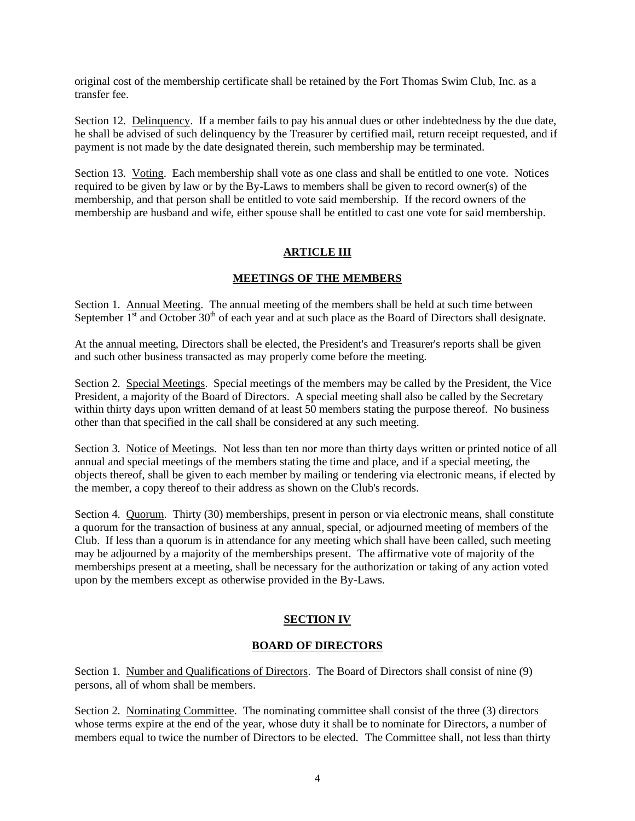original cost of the membership certificate shall be retained by the Fort Thomas Swim Club, Inc. as a transfer fee.

Section 12. Delinquency. If a member fails to pay his annual dues or other indebtedness by the due date, he shall be advised of such delinquency by the Treasurer by certified mail, return receipt requested, and if payment is not made by the date designated therein, such membership may be terminated.

Section 13. Voting. Each membership shall vote as one class and shall be entitled to one vote. Notices required to be given by law or by the By-Laws to members shall be given to record owner(s) of the membership, and that person shall be entitled to vote said membership. If the record owners of the membership are husband and wife, either spouse shall be entitled to cast one vote for said membership.

## **ARTICLE III**

### **MEETINGS OF THE MEMBERS**

Section 1. Annual Meeting. The annual meeting of the members shall be held at such time between September  $1<sup>st</sup>$  and October  $30<sup>th</sup>$  of each year and at such place as the Board of Directors shall designate.

At the annual meeting, Directors shall be elected, the President's and Treasurer's reports shall be given and such other business transacted as may properly come before the meeting.

Section 2. Special Meetings. Special meetings of the members may be called by the President, the Vice President, a majority of the Board of Directors. A special meeting shall also be called by the Secretary within thirty days upon written demand of at least 50 members stating the purpose thereof. No business other than that specified in the call shall be considered at any such meeting.

Section 3. Notice of Meetings. Not less than ten nor more than thirty days written or printed notice of all annual and special meetings of the members stating the time and place, and if a special meeting, the objects thereof, shall be given to each member by mailing or tendering via electronic means, if elected by the member, a copy thereof to their address as shown on the Club's records.

Section 4. Quorum. Thirty (30) memberships, present in person or via electronic means, shall constitute a quorum for the transaction of business at any annual, special, or adjourned meeting of members of the Club. If less than a quorum is in attendance for any meeting which shall have been called, such meeting may be adjourned by a majority of the memberships present. The affirmative vote of majority of the memberships present at a meeting, shall be necessary for the authorization or taking of any action voted upon by the members except as otherwise provided in the By-Laws.

## **SECTION IV**

### **BOARD OF DIRECTORS**

Section 1. Number and Qualifications of Directors. The Board of Directors shall consist of nine (9) persons, all of whom shall be members.

Section 2. Nominating Committee. The nominating committee shall consist of the three (3) directors whose terms expire at the end of the year, whose duty it shall be to nominate for Directors, a number of members equal to twice the number of Directors to be elected. The Committee shall, not less than thirty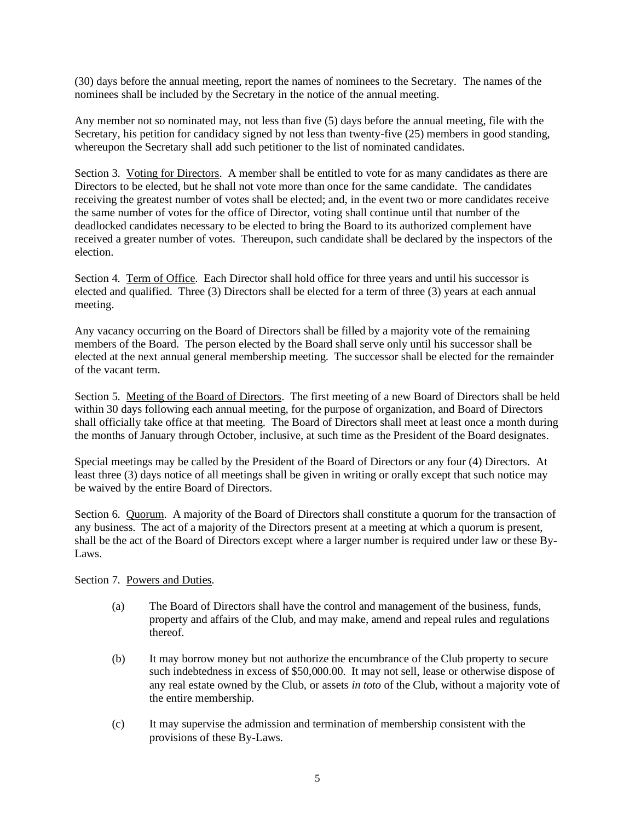(30) days before the annual meeting, report the names of nominees to the Secretary. The names of the nominees shall be included by the Secretary in the notice of the annual meeting.

Any member not so nominated may, not less than five (5) days before the annual meeting, file with the Secretary, his petition for candidacy signed by not less than twenty-five (25) members in good standing, whereupon the Secretary shall add such petitioner to the list of nominated candidates.

Section 3. Voting for Directors. A member shall be entitled to vote for as many candidates as there are Directors to be elected, but he shall not vote more than once for the same candidate. The candidates receiving the greatest number of votes shall be elected; and, in the event two or more candidates receive the same number of votes for the office of Director, voting shall continue until that number of the deadlocked candidates necessary to be elected to bring the Board to its authorized complement have received a greater number of votes. Thereupon, such candidate shall be declared by the inspectors of the election.

Section 4. Term of Office. Each Director shall hold office for three years and until his successor is elected and qualified. Three (3) Directors shall be elected for a term of three (3) years at each annual meeting.

Any vacancy occurring on the Board of Directors shall be filled by a majority vote of the remaining members of the Board. The person elected by the Board shall serve only until his successor shall be elected at the next annual general membership meeting. The successor shall be elected for the remainder of the vacant term.

Section 5. Meeting of the Board of Directors. The first meeting of a new Board of Directors shall be held within 30 days following each annual meeting, for the purpose of organization, and Board of Directors shall officially take office at that meeting. The Board of Directors shall meet at least once a month during the months of January through October, inclusive, at such time as the President of the Board designates.

Special meetings may be called by the President of the Board of Directors or any four (4) Directors. At least three (3) days notice of all meetings shall be given in writing or orally except that such notice may be waived by the entire Board of Directors.

Section 6. Quorum. A majority of the Board of Directors shall constitute a quorum for the transaction of any business. The act of a majority of the Directors present at a meeting at which a quorum is present, shall be the act of the Board of Directors except where a larger number is required under law or these By-Laws.

### Section 7. Powers and Duties.

- (a) The Board of Directors shall have the control and management of the business, funds, property and affairs of the Club, and may make, amend and repeal rules and regulations thereof.
- (b) It may borrow money but not authorize the encumbrance of the Club property to secure such indebtedness in excess of \$50,000.00. It may not sell, lease or otherwise dispose of any real estate owned by the Club, or assets *in toto* of the Club, without a majority vote of the entire membership.
- (c) It may supervise the admission and termination of membership consistent with the provisions of these By-Laws.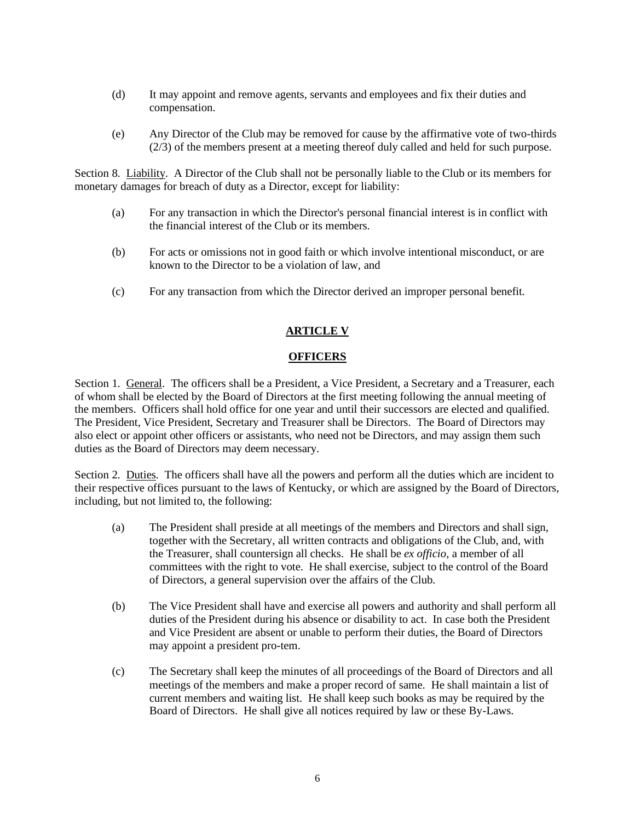- (d) It may appoint and remove agents, servants and employees and fix their duties and compensation.
- (e) Any Director of the Club may be removed for cause by the affirmative vote of two-thirds (2/3) of the members present at a meeting thereof duly called and held for such purpose.

Section 8. Liability. A Director of the Club shall not be personally liable to the Club or its members for monetary damages for breach of duty as a Director, except for liability:

- (a) For any transaction in which the Director's personal financial interest is in conflict with the financial interest of the Club or its members.
- (b) For acts or omissions not in good faith or which involve intentional misconduct, or are known to the Director to be a violation of law, and
- (c) For any transaction from which the Director derived an improper personal benefit.

## **ARTICLE V**

#### **OFFICERS**

Section 1. General. The officers shall be a President, a Vice President, a Secretary and a Treasurer, each of whom shall be elected by the Board of Directors at the first meeting following the annual meeting of the members. Officers shall hold office for one year and until their successors are elected and qualified. The President, Vice President, Secretary and Treasurer shall be Directors. The Board of Directors may also elect or appoint other officers or assistants, who need not be Directors, and may assign them such duties as the Board of Directors may deem necessary.

Section 2. Duties. The officers shall have all the powers and perform all the duties which are incident to their respective offices pursuant to the laws of Kentucky, or which are assigned by the Board of Directors, including, but not limited to, the following:

- (a) The President shall preside at all meetings of the members and Directors and shall sign, together with the Secretary, all written contracts and obligations of the Club, and, with the Treasurer, shall countersign all checks. He shall be *ex officio*, a member of all committees with the right to vote. He shall exercise, subject to the control of the Board of Directors, a general supervision over the affairs of the Club.
- (b) The Vice President shall have and exercise all powers and authority and shall perform all duties of the President during his absence or disability to act. In case both the President and Vice President are absent or unable to perform their duties, the Board of Directors may appoint a president pro-tem.
- (c) The Secretary shall keep the minutes of all proceedings of the Board of Directors and all meetings of the members and make a proper record of same. He shall maintain a list of current members and waiting list. He shall keep such books as may be required by the Board of Directors. He shall give all notices required by law or these By-Laws.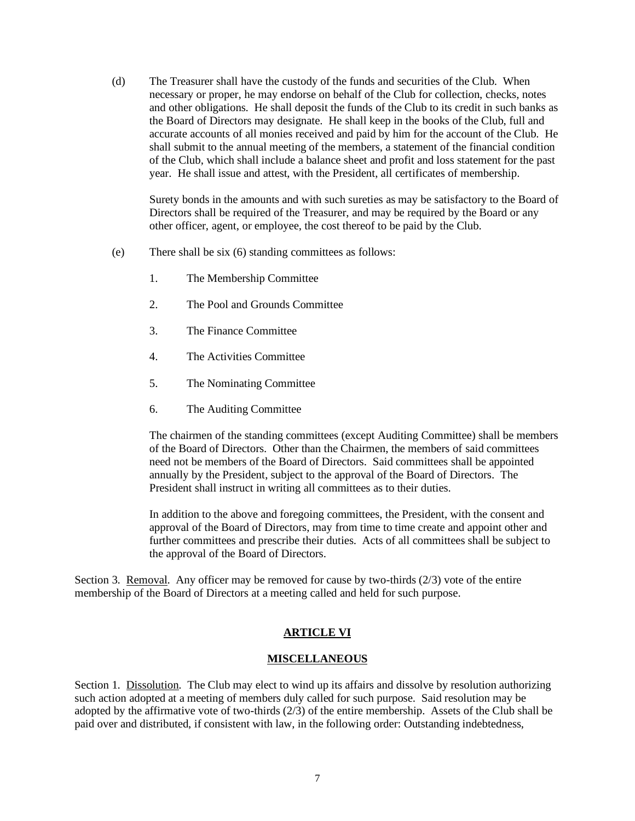(d) The Treasurer shall have the custody of the funds and securities of the Club. When necessary or proper, he may endorse on behalf of the Club for collection, checks, notes and other obligations. He shall deposit the funds of the Club to its credit in such banks as the Board of Directors may designate. He shall keep in the books of the Club, full and accurate accounts of all monies received and paid by him for the account of the Club. He shall submit to the annual meeting of the members, a statement of the financial condition of the Club, which shall include a balance sheet and profit and loss statement for the past year. He shall issue and attest, with the President, all certificates of membership.

Surety bonds in the amounts and with such sureties as may be satisfactory to the Board of Directors shall be required of the Treasurer, and may be required by the Board or any other officer, agent, or employee, the cost thereof to be paid by the Club.

- (e) There shall be six (6) standing committees as follows:
	- 1. The Membership Committee
	- 2. The Pool and Grounds Committee
	- 3. The Finance Committee
	- 4. The Activities Committee
	- 5. The Nominating Committee
	- 6. The Auditing Committee

The chairmen of the standing committees (except Auditing Committee) shall be members of the Board of Directors. Other than the Chairmen, the members of said committees need not be members of the Board of Directors. Said committees shall be appointed annually by the President, subject to the approval of the Board of Directors. The President shall instruct in writing all committees as to their duties.

In addition to the above and foregoing committees, the President, with the consent and approval of the Board of Directors, may from time to time create and appoint other and further committees and prescribe their duties. Acts of all committees shall be subject to the approval of the Board of Directors.

Section 3. Removal. Any officer may be removed for cause by two-thirds  $(2/3)$  vote of the entire membership of the Board of Directors at a meeting called and held for such purpose.

### **ARTICLE VI**

#### **MISCELLANEOUS**

Section 1. Dissolution. The Club may elect to wind up its affairs and dissolve by resolution authorizing such action adopted at a meeting of members duly called for such purpose. Said resolution may be adopted by the affirmative vote of two-thirds (2/3) of the entire membership. Assets of the Club shall be paid over and distributed, if consistent with law, in the following order: Outstanding indebtedness,